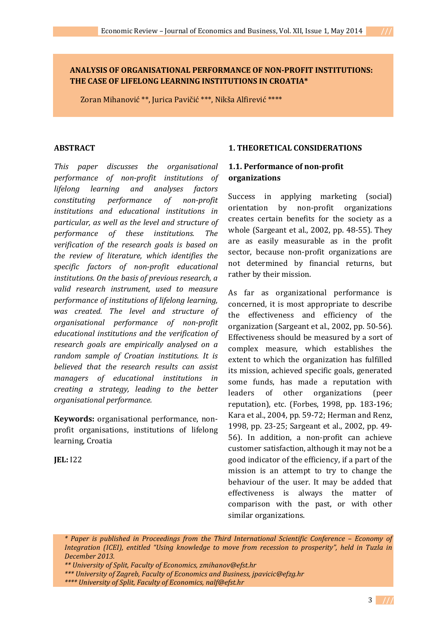### **ANALYSIS OF ORGANISATIONAL PERFORMANCE OF NON-PROFIT INSTITUTIONS: THE CASE OF LIFELONG LEARNING INSTITUTIONS IN CROATIA\***

Zoran Mihanović \*\*, Jurica Pavičić \*\*\*, Nikša Alfirević \*\*\*\*

#### **ABSTRACT**

*This paper discusses the organisational performance of non-profit institutions of lifelong learning and analyses factors constituting performance of non-profit institutions and educational institutions in particular, as well as the level and structure of performance of these institutions. The verification of the research goals is based on the review of literature, which identifies the specific factors of non-profit educational institutions. On the basis of previous research, a valid research instrument, used to measure performance of institutions of lifelong learning, was created. The level and structure of organisational performance of non-profit educational institutions and the verification of research goals are empirically analysed on a random sample of Croatian institutions. It is believed that the research results can assist managers of educational institutions in creating a strategy, leading to the better organisational performance.*

**Keywords:** organisational performance, nonprofit organisations, institutions of lifelong learning, Croatia

**JEL:** I22

### **1. THEORETICAL CONSIDERATIONS**

### **1.1. Performance of non-profit organizations**

Success in applying marketing (social) orientation by non-profit organizations creates certain benefits for the society as a whole (Sargeant et al., 2002, pp. 48-55). They are as easily measurable as in the profit sector, because non-profit organizations are not determined by financial returns, but rather by their mission.

As far as organizational performance is concerned, it is most appropriate to describe the effectiveness and efficiency of the organization (Sargeant et al., 2002, pp. 50-56). Effectiveness should be measured by a sort of complex measure, which establishes the extent to which the organization has fulfilled its mission, achieved specific goals, generated some funds, has made a reputation with leaders of other organizations (peer reputation), etc. (Forbes, 1998, pp. 183-196; Kara et al., 2004, pp. 59-72; Herman and Renz, 1998, pp. 23-25; Sargeant et al., 2002, pp. 49- 56). In addition, a non-profit can achieve customer satisfaction, although it may not be a good indicator of the efficiency, if a part of the mission is an attempt to try to change the behaviour of the user. It may be added that effectiveness is always the matter of comparison with the past, or with other similar organizations.

 *\* Paper is published in Proceedings from the Third International Scientific Conference – Economy of Integration (ICEI), entitled "Using knowledge to move from recession to prosperity", held in Tuzla in December 2013.* 

- *\*\*\* University of Zagreb, Faculty of Economics and Business, jpavicic@efzg.hr*
- *\*\*\*\* University of Split, Faculty of Economics, nalf@efst.hr*

 *<sup>\*\*</sup> University of Split, Faculty of Economics, zmihanov@efst.hr*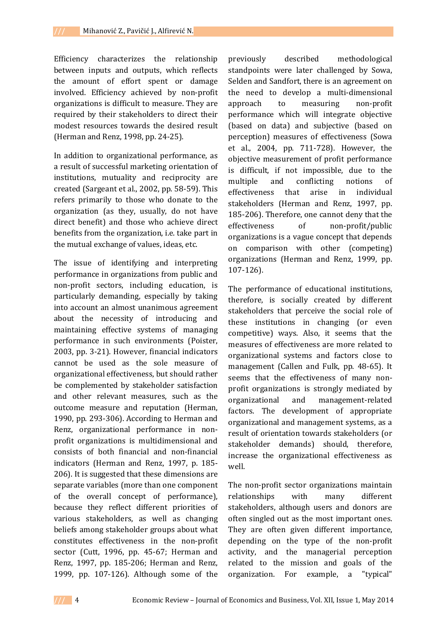Efficiency characterizes the relationship between inputs and outputs, which reflects the amount of effort spent or damage involved. Efficiency achieved by non-profit organizations is difficult to measure. They are required by their stakeholders to direct their modest resources towards the desired result (Herman and Renz, 1998, pp. 24-25).

In addition to organizational performance, as a result of successful marketing orientation of institutions, mutuality and reciprocity are created (Sargeant et al., 2002, pp. 58-59). This refers primarily to those who donate to the organization (as they, usually, do not have direct benefit) and those who achieve direct benefits from the organization, i.e. take part in the mutual exchange of values, ideas, etc.

The issue of identifying and interpreting performance in organizations from public and non-profit sectors, including education, is particularly demanding, especially by taking into account an almost unanimous agreement about the necessity of introducing and maintaining effective systems of managing performance in such environments (Poister, 2003, pp. 3-21). However, financial indicators cannot be used as the sole measure of organizational effectiveness, but should rather be complemented by stakeholder satisfaction and other relevant measures, such as the outcome measure and reputation (Herman, 1990, pp. 293-306). According to Herman and Renz, organizational performance in nonprofit organizations is multidimensional and consists of both financial and non-financial indicators (Herman and Renz, 1997, p. 185- 206). It is suggested that these dimensions are separate variables (more than one component of the overall concept of performance), because they reflect different priorities of various stakeholders, as well as changing beliefs among stakeholder groups about what constitutes effectiveness in the non-profit sector (Cutt, 1996, pp. 45-67; Herman and Renz, 1997, pp. 185-206; Herman and Renz, 1999, pp. 107-126). Although some of the

previously described methodological standpoints were later challenged by Sowa, Selden and Sandfort, there is an agreement on the need to develop a multi-dimensional approach to measuring non-profit performance which will integrate objective (based on data) and subjective (based on perception) measures of effectiveness (Sowa et al., 2004, pp. 711-728). However, the objective measurement of profit performance is difficult, if not impossible, due to the multiple and conflicting notions of effectiveness that arise in individual stakeholders (Herman and Renz, 1997, pp. 185-206). Therefore, one cannot deny that the effectiveness of non-profit/public organizations is a vague concept that depends on comparison with other (competing) organizations (Herman and Renz, 1999, pp. 107-126).

The performance of educational institutions, therefore, is socially created by different stakeholders that perceive the social role of these institutions in changing (or even competitive) ways. Also, it seems that the measures of effectiveness are more related to organizational systems and factors close to management (Callen and Fulk, pp. 48-65). It seems that the effectiveness of many nonprofit organizations is strongly mediated by organizational and management-related factors. The development of appropriate organizational and management systems, as a result of orientation towards stakeholders (or stakeholder demands) should, therefore, increase the organizational effectiveness as well.

The non-profit sector organizations maintain relationships with many different stakeholders, although users and donors are often singled out as the most important ones. They are often given different importance, depending on the type of the non-profit activity, and the managerial perception related to the mission and goals of the organization. For example, a "typical"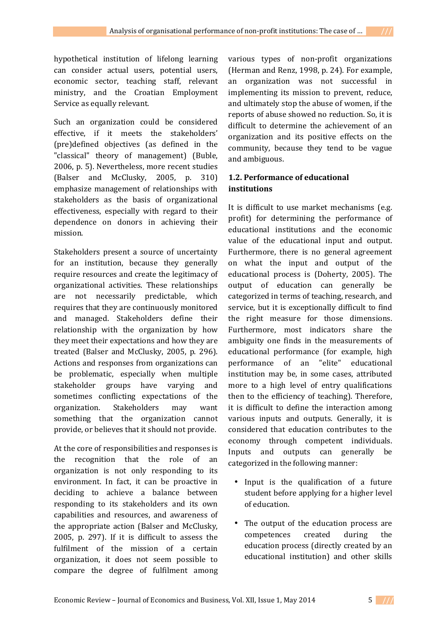hypothetical institution of lifelong learning can consider actual users, potential users, economic sector, teaching staff, relevant ministry, and the Croatian Employment Service as equally relevant.

Such an organization could be considered effective, if it meets the stakeholders' (pre)defined objectives (as defined in the "classical" theory of management) (Buble, 2006, p. 5). Nevertheless, more recent studies (Balser and McClusky, 2005, p. 310) emphasize management of relationships with stakeholders as the basis of organizational effectiveness, especially with regard to their dependence on donors in achieving their mission.

Stakeholders present a source of uncertainty for an institution, because they generally require resources and create the legitimacy of organizational activities. These relationships are not necessarily predictable, which requires that they are continuously monitored and managed. Stakeholders define their relationship with the organization by how they meet their expectations and how they are treated (Balser and McClusky, 2005, p. 296). Actions and responses from organizations can be problematic, especially when multiple stakeholder groups have varying and sometimes conflicting expectations of the organization. Stakeholders may want something that the organization cannot provide, or believes that it should not provide.

At the core of responsibilities and responses is the recognition that the role of an organization is not only responding to its environment. In fact, it can be proactive in deciding to achieve a balance between responding to its stakeholders and its own capabilities and resources, and awareness of the appropriate action (Balser and McClusky, 2005, p. 297). If it is difficult to assess the fulfilment of the mission of a certain organization, it does not seem possible to compare the degree of fulfilment among various types of non-profit organizations (Herman and Renz, 1998, p. 24). For example, an organization was not successful in implementing its mission to prevent, reduce, and ultimately stop the abuse of women, if the reports of abuse showed no reduction. So, it is difficult to determine the achievement of an organization and its positive effects on the community, because they tend to be vague and ambiguous.

# **1.2. Performance of educational institutions**

It is difficult to use market mechanisms (e.g. profit) for determining the performance of educational institutions and the economic value of the educational input and output. Furthermore, there is no general agreement on what the input and output of the educational process is (Doherty, 2005). The output of education can generally be categorized in terms of teaching, research, and service, but it is exceptionally difficult to find the right measure for those dimensions. Furthermore, most indicators share the ambiguity one finds in the measurements of educational performance (for example, high performance of an "elite" educational institution may be, in some cases, attributed more to a high level of entry qualifications then to the efficiency of teaching). Therefore, it is difficult to define the interaction among various inputs and outputs. Generally, it is considered that education contributes to the economy through competent individuals. Inputs and outputs can generally be categorized in the following manner:

- Input is the qualification of a future student before applying for a higher level of education.
- The output of the education process are competences created during the education process (directly created by an educational institution) and other skills

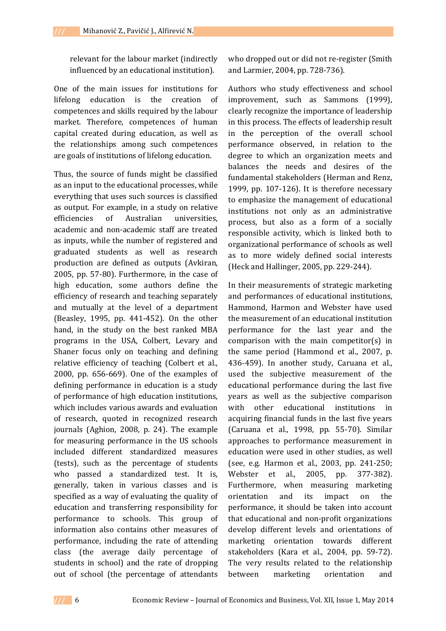relevant for the labour market (indirectly influenced by an educational institution).

One of the main issues for institutions for lifelong education is the creation of competences and skills required by the labour market. Therefore, competences of human capital created during education, as well as the relationships among such competences are goals of institutions of lifelong education.

Thus, the source of funds might be classified as an input to the educational processes, while everything that uses such sources is classified as output. For example, in a study on relative efficiencies of Australian universities, academic and non-academic staff are treated as inputs, while the number of registered and graduated students as well as research production are defined as outputs (Avkiran, 2005, pp. 57-80). Furthermore, in the case of high education, some authors define the efficiency of research and teaching separately and mutually at the level of a department (Beasley, 1995, pp. 441-452). On the other hand, in the study on the best ranked MBA programs in the USA, Colbert, Levary and Shaner focus only on teaching and defining relative efficiency of teaching (Colbert et al., 2000, pp. 656-669). One of the examples of defining performance in education is a study of performance of high education institutions, which includes various awards and evaluation of research, quoted in recognized research journals (Aghion, 2008, p. 24). The example for measuring performance in the US schools included different standardized measures (tests), such as the percentage of students who passed a standardized test. It is, generally, taken in various classes and is specified as a way of evaluating the quality of education and transferring responsibility for performance to schools. This group of information also contains other measures of performance, including the rate of attending class (the average daily percentage of students in school) and the rate of dropping out of school (the percentage of attendants

who dropped out or did not re-register (Smith and Larmier, 2004, pp. 728-736).

Authors who study effectiveness and school improvement, such as Sammons (1999), clearly recognize the importance of leadership in this process. The effects of leadership result in the perception of the overall school performance observed, in relation to the degree to which an organization meets and balances the needs and desires of the fundamental stakeholders (Herman and Renz, 1999, pp. 107-126). It is therefore necessary to emphasize the management of educational institutions not only as an administrative process, but also as a form of a socially responsible activity, which is linked both to organizational performance of schools as well as to more widely defined social interests (Heck and Hallinger, 2005, pp. 229-244).

In their measurements of strategic marketing and performances of educational institutions, Hammond, Harmon and Webster have used the measurement of an educational institution performance for the last year and the comparison with the main competitor(s) in the same period (Hammond et al., 2007, p. 436-459). In another study, Caruana et al., used the subjective measurement of the educational performance during the last five years as well as the subjective comparison with other educational institutions in acquiring financial funds in the last five years (Caruana et al., 1998, pp. 55-70). Similar approaches to performance measurement in education were used in other studies, as well (see, e.g. Harmon et al., 2003, pp. 241-250; Webster et al., 2005, pp. 377-382). Furthermore, when measuring marketing orientation and its impact on the performance, it should be taken into account that educational and non-profit organizations develop different levels and orientations of marketing orientation towards different stakeholders (Kara et al., 2004, pp. 59-72). The very results related to the relationship between marketing orientation and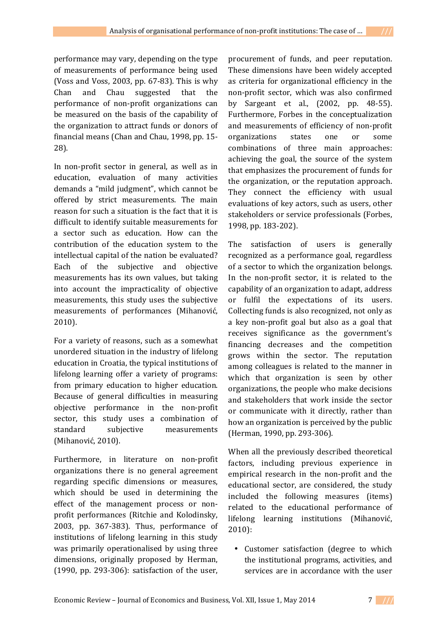performance may vary, depending on the type of measurements of performance being used (Voss and Voss, 2003, pp. 67-83). This is why Chan and Chau suggested that the performance of non-profit organizations can be measured on the basis of the capability of the organization to attract funds or donors of

In non-profit sector in general, as well as in education, evaluation of many activities demands a "mild judgment", which cannot be offered by strict measurements. The main reason for such a situation is the fact that it is difficult to identify suitable measurements for a sector such as education. How can the contribution of the education system to the intellectual capital of the nation be evaluated? Each of the subjective and objective measurements has its own values, but taking into account the impracticality of objective measurements, this study uses the subjective measurements of performances (Mihanović, 2010).

financial means (Chan and Chau, 1998, pp. 15-

28).

For a variety of reasons, such as a somewhat unordered situation in the industry of lifelong education in Croatia, the typical institutions of lifelong learning offer a variety of programs: from primary education to higher education. Because of general difficulties in measuring objective performance in the non-profit sector, this study uses a combination of standard subjective measurements (Mihanović, 2010).

Furthermore, in literature on non-profit organizations there is no general agreement regarding specific dimensions or measures, which should be used in determining the effect of the management process or nonprofit performances (Ritchie and Kolodinsky, 2003, pp. 367-383). Thus, performance of institutions of lifelong learning in this study was primarily operationalised by using three dimensions, originally proposed by Herman, (1990, pp. 293-306): satisfaction of the user,

procurement of funds, and peer reputation. These dimensions have been widely accepted as criteria for organizational efficiency in the non-profit sector, which was also confirmed by Sargeant et al., (2002, pp. 48-55). Furthermore, Forbes in the conceptualization and measurements of efficiency of non-profit organizations states one or some combinations of three main approaches: achieving the goal, the source of the system that emphasizes the procurement of funds for the organization, or the reputation approach. They connect the efficiency with usual evaluations of key actors, such as users, other stakeholders or service professionals (Forbes, 1998, pp. 183-202).

The satisfaction of users is generally recognized as a performance goal, regardless of a sector to which the organization belongs. In the non-profit sector, it is related to the capability of an organization to adapt, address or fulfil the expectations of its users. Collecting funds is also recognized, not only as a key non-profit goal but also as a goal that receives significance as the government's financing decreases and the competition grows within the sector. The reputation among colleagues is related to the manner in which that organization is seen by other organizations, the people who make decisions and stakeholders that work inside the sector or communicate with it directly, rather than how an organization is perceived by the public (Herman, 1990, pp. 293-306).

When all the previously described theoretical factors, including previous experience in empirical research in the non-profit and the educational sector, are considered, the study included the following measures (items) related to the educational performance of lifelong learning institutions (Mihanović, 2010):

• Customer satisfaction (degree to which the institutional programs, activities, and services are in accordance with the user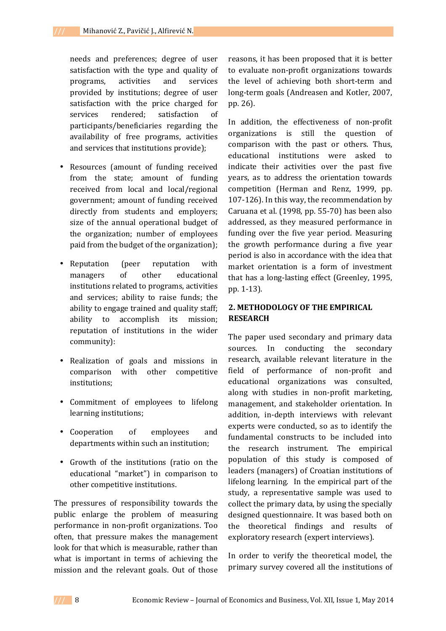needs and preferences; degree of user satisfaction with the type and quality of programs, activities and services provided by institutions; degree of user satisfaction with the price charged for services rendered; satisfaction of participants/beneficiaries regarding the availability of free programs, activities and services that institutions provide);

- Resources (amount of funding received from the state; amount of funding received from local and local/regional government; amount of funding received directly from students and employers; size of the annual operational budget of the organization; number of employees paid from the budget of the organization);
- Reputation (peer reputation with managers of other educational institutions related to programs, activities and services; ability to raise funds; the ability to engage trained and quality staff; ability to accomplish its mission; reputation of institutions in the wider community):
- Realization of goals and missions in comparison with other competitive institutions;
- Commitment of employees to lifelong learning institutions;
- Cooperation of employees and departments within such an institution;
- Growth of the institutions (ratio on the educational "market") in comparison to other competitive institutions.

The pressures of responsibility towards the public enlarge the problem of measuring performance in non-profit organizations. Too often, that pressure makes the management look for that which is measurable, rather than what is important in terms of achieving the mission and the relevant goals. Out of those

reasons, it has been proposed that it is better to evaluate non-profit organizations towards the level of achieving both short-term and long-term goals (Andreasen and Kotler, 2007, pp. 26).

In addition, the effectiveness of non-profit organizations is still the question of comparison with the past or others. Thus, educational institutions were asked to indicate their activities over the past five years, as to address the orientation towards competition (Herman and Renz, 1999, pp. 107-126). In this way, the recommendation by Caruana et al. (1998, pp. 55-70) has been also addressed, as they measured performance in funding over the five year period. Measuring the growth performance during a five year period is also in accordance with the idea that market orientation is a form of investment that has a long-lasting effect (Greenley, 1995, pp. 1-13).

## **2. METHODOLOGY OF THE EMPIRICAL RESEARCH**

The paper used secondary and primary data sources. In conducting the secondary research, available relevant literature in the field of performance of non-profit and educational organizations was consulted, along with studies in non-profit marketing, management, and stakeholder orientation. In addition, in-depth interviews with relevant experts were conducted, so as to identify the fundamental constructs to be included into the research instrument. The empirical population of this study is composed of leaders (managers) of Croatian institutions of lifelong learning. In the empirical part of the study, a representative sample was used to collect the primary data, by using the specially designed questionnaire. It was based both on the theoretical findings and results of exploratory research (expert interviews).

In order to verify the theoretical model, the primary survey covered all the institutions of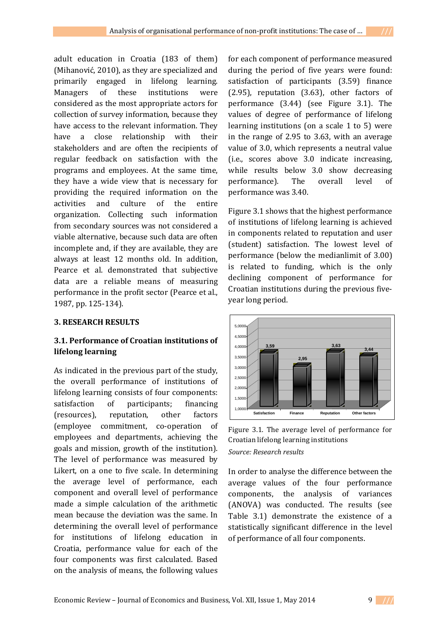adult education in Croatia (183 of them) (Mihanović, 2010), as they are specialized and primarily engaged in lifelong learning. Managers of these institutions were considered as the most appropriate actors for collection of survey information, because they have access to the relevant information. They have a close relationship with their stakeholders and are often the recipients of regular feedback on satisfaction with the programs and employees. At the same time, they have a wide view that is necessary for providing the required information on the activities and culture of the entire organization. Collecting such information from secondary sources was not considered a viable alternative, because such data are often incomplete and, if they are available, they are always at least 12 months old. In addition, Pearce et al. demonstrated that subjective data are a reliable means of measuring performance in the profit sector (Pearce et al., 1987, pp. 125-134).

### **3. RESEARCH RESULTS**

## **3.1. Performance of Croatian institutions of lifelong learning**

As indicated in the previous part of the study, the overall performance of institutions of lifelong learning consists of four components: satisfaction of participants; financing (resources), reputation, other factors (employee commitment, co-operation of employees and departments, achieving the goals and mission, growth of the institution). The level of performance was measured by Likert, on a one to five scale. In determining the average level of performance, each component and overall level of performance made a simple calculation of the arithmetic mean because the deviation was the same. In determining the overall level of performance for institutions of lifelong education in Croatia, performance value for each of the four components was first calculated. Based on the analysis of means, the following values

for each component of performance measured during the period of five years were found: satisfaction of participants (3.59) finance (2.95), reputation (3.63), other factors of performance (3.44) (see Figure 3.1). The values of degree of performance of lifelong learning institutions (on a scale 1 to 5) were in the range of 2.95 to 3.63, with an average value of 3.0, which represents a neutral value (i.e., scores above 3.0 indicate increasing, while results below 3.0 show decreasing performance). The overall level of performance was 3.40.

Figure 3.1 shows that the highest performance of institutions of lifelong learning is achieved in components related to reputation and user (student) satisfaction. The lowest level of performance (below the medianlimit of 3.00) is related to funding, which is the only declining component of performance for Croatian institutions during the previous fiveyear long period.



Figure 3.1. The average level of performance for Croatian lifelong learning institutions *Source: Research results* 

In order to analyse the difference between the average values of the four performance components, the analysis of variances (ANOVA) was conducted. The results (see Table 3.1) demonstrate the existence of a statistically significant difference in the level of performance of all four components.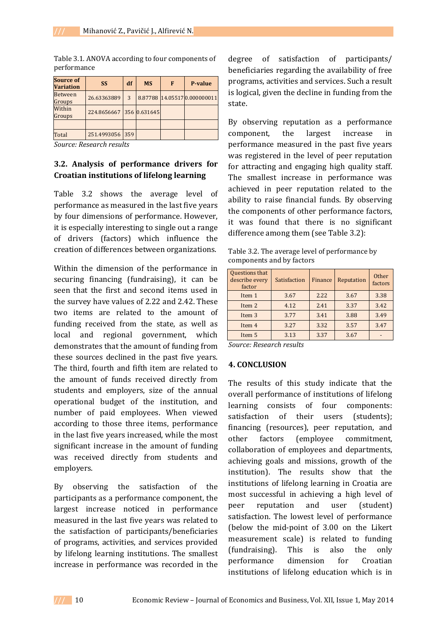| <b>Source of</b><br><b>Variation</b> | <b>SS</b>                | df  | <b>MS</b> | F | P-value                      |
|--------------------------------------|--------------------------|-----|-----------|---|------------------------------|
| <b>Between</b><br>Groups             | 26.63363889              | 3   |           |   | 8.87788 14.05517 0.000000011 |
| Within<br>Groups                     | 224.8656667 356 0.631645 |     |           |   |                              |
|                                      |                          |     |           |   |                              |
| Total                                | 251.4993056              | 359 |           |   |                              |

Table 3.1. ANOVA according to four components of performance

*Source: Research results* 

## **3.2. Analysis of performance drivers for Croatian institutions of lifelong learning**

Table 3.2 shows the average level of performance as measured in the last five years by four dimensions of performance. However, it is especially interesting to single out a range of drivers (factors) which influence the creation of differences between organizations.

Within the dimension of the performance in securing financing (fundraising), it can be seen that the first and second items used in the survey have values of 2.22 and 2.42. These two items are related to the amount of funding received from the state, as well as local and regional government, which demonstrates that the amount of funding from these sources declined in the past five years. The third, fourth and fifth item are related to the amount of funds received directly from students and employers, size of the annual operational budget of the institution, and number of paid employees. When viewed according to those three items, performance in the last five years increased, while the most significant increase in the amount of funding was received directly from students and employers.

By observing the satisfaction of the participants as a performance component, the largest increase noticed in performance measured in the last five years was related to the satisfaction of participants/beneficiaries of programs, activities, and services provided by lifelong learning institutions. The smallest increase in performance was recorded in the

degree of satisfaction of participants/ beneficiaries regarding the availability of free programs, activities and services. Such a result is logical, given the decline in funding from the state.

By observing reputation as a performance component, the largest increase in performance measured in the past five years was registered in the level of peer reputation for attracting and engaging high quality staff. The smallest increase in performance was achieved in peer reputation related to the ability to raise financial funds. By observing the components of other performance factors, it was found that there is no significant difference among them (see Table 3.2):

Table 3.2. The average level of performance by components and by factors

| Questions that<br>describe every<br>factor | Satisfaction        | Finance | Reputation | Other<br>factors |
|--------------------------------------------|---------------------|---------|------------|------------------|
| Item 1                                     | 3.67                | 2.22    | 3.67       | 3.38             |
| Item 2                                     | 4.12                | 2.41    | 3.37       | 3.42             |
| Item <sub>3</sub>                          | 3.77                | 3.41    | 3.88       | 3.49             |
| Item 4                                     | 3.27                | 3.32    | 3.57       | 3.47             |
| Item 5                                     | 3.13                | 3.37    | 3.67       |                  |
| $\sim$<br>$\sim$                           | $\mathbf{r}$<br>. . |         |            |                  |

*Source: Research results* 

### **4. CONCLUSION**

The results of this study indicate that the overall performance of institutions of lifelong learning consists of four components: satisfaction of their users (students); financing (resources), peer reputation, and other factors (employee commitment, collaboration of employees and departments, achieving goals and missions, growth of the institution). The results show that the institutions of lifelong learning in Croatia are most successful in achieving a high level of peer reputation and user (student) satisfaction. The lowest level of performance (below the mid-point of 3.00 on the Likert measurement scale) is related to funding (fundraising). This is also the only performance dimension for Croatian institutions of lifelong education which is in

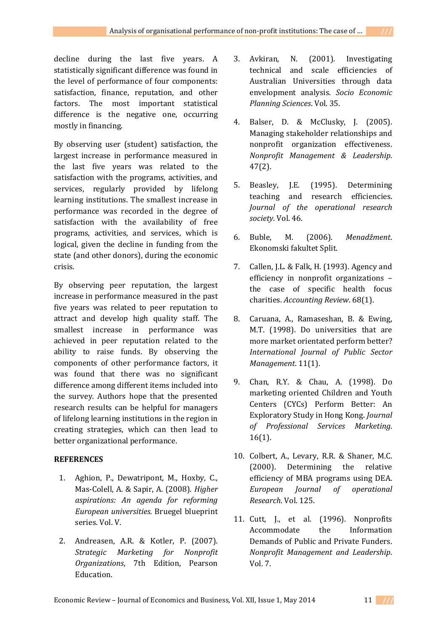decline during the last five years. A statistically significant difference was found in the level of performance of four components: satisfaction, finance, reputation, and other factors. The most important statistical difference is the negative one, occurring mostly in financing.

By observing user (student) satisfaction, the largest increase in performance measured in the last five years was related to the satisfaction with the programs, activities, and services, regularly provided by lifelong learning institutions. The smallest increase in performance was recorded in the degree of satisfaction with the availability of free programs, activities, and services, which is logical, given the decline in funding from the state (and other donors), during the economic crisis.

By observing peer reputation, the largest increase in performance measured in the past five years was related to peer reputation to attract and develop high quality staff. The smallest increase in performance was achieved in peer reputation related to the ability to raise funds. By observing the components of other performance factors, it was found that there was no significant difference among different items included into the survey. Authors hope that the presented research results can be helpful for managers of lifelong learning institutions in the region in creating strategies, which can then lead to better organizational performance.

### **REFERENCES**

- 1. Aghion, P., Dewatripont, M., Hoxby, C., Mas-Colell, A. & Sapir, A. (2008). *Higher aspirations: An agenda for reforming European universities*. Bruegel blueprint series. Vol. V.
- 2. Andreasen, A.R. & Kotler, P. (2007). *Strategic Marketing for Nonprofit Organizations*, 7th Edition, Pearson Education.
- 3. Avkiran, N. (2001). Investigating technical and scale efficiencies of Australian Universities through data envelopment analysis. *Socio Economic Planning Sciences*. Vol. 35.
- 4. Balser, D. & McClusky, J. (2005). Managing stakeholder relationships and nonprofit organization effectiveness. *Nonprofit Management & Leadership*. 47(2).
- 5. Beasley, J.E. (1995). Determining teaching and research efficiencies. *Journal of the operational research society*. Vol. 46.
- 6. Buble, M. (2006). *Menadžment*. Ekonomski fakultet Split.
- 7. Callen, J.L. & Falk, H. (1993). Agency and efficiency in nonprofit organizations – the case of specific health focus charities. *Accounting Review*. 68(1).
- 8. Caruana, A., Ramaseshan, B. & Ewing, M.T. (1998). Do universities that are more market orientated perform better? *International Journal of Public Sector Management*. 11(1).
- 9. Chan, R.Y. & Chau, A. (1998). Do marketing oriented Children and Youth Centers (CYCs) Perform Better: An Exploratory Study in Hong Kong. *Journal of Professional Services Marketing*. 16(1).
- 10. Colbert, A., Levary, R.R. & Shaner, M.C. (2000). Determining the relative efficiency of MBA programs using DEA. *European Journal of operational Research*. Vol. 125.
- 11. Cutt, J., et al. (1996). Nonprofits Accommodate the Information Demands of Public and Private Funders. *Nonprofit Management and Leadership*. Vol. 7.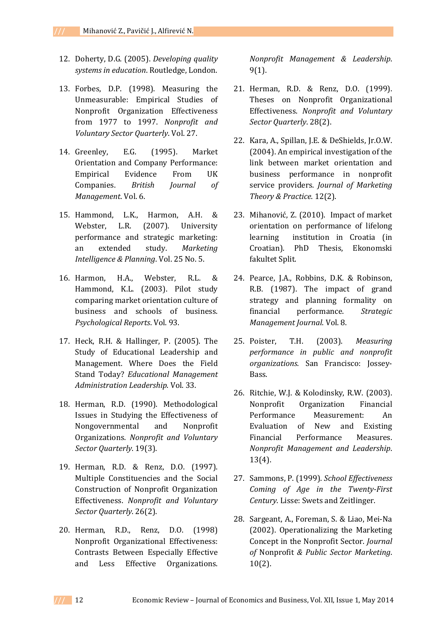- 12. Doherty, D.G. (2005). *Developing quality systems in education*. Routledge, London.
- 13. Forbes, D.P. (1998). Measuring the Unmeasurable: Empirical Studies of Nonprofit Organization Effectiveness from 1977 to 1997. *Nonprofit and Voluntary Sector Quarterly*. Vol. 27.
- 14. Greenley, E.G. (1995). Market Orientation and Company Performance: Empirical Evidence From UK Companies. *British Journal of Management*. Vol. 6.
- 15. Hammond, L.K., Harmon, A.H. & Webster, L.R. (2007). University performance and strategic marketing: an extended study. *Marketing Intelligence & Planning*. Vol. 25 No. 5.
- 16. Harmon, H.A., Webster, R.L. & Hammond, K.L. (2003). Pilot study comparing market orientation culture of business and schools of business. *Psychological Reports*. Vol. 93.
- 17. Heck, R.H. & Hallinger, P. (2005). The Study of Educational Leadership and Management. Where Does the Field Stand Today? *Educational Management Administration Leadership*. Vol. 33.
- 18. Herman, R.D. (1990). Methodological Issues in Studying the Effectiveness of Nongovernmental and Nonprofit Organizations. *Nonprofit and Voluntary Sector Quarterly*. 19(3).
- 19. Herman, R.D. & Renz, D.O. (1997). Multiple Constituencies and the Social Construction of Nonprofit Organization Effectiveness. *Nonprofit and Voluntary Sector Quarterly*. 26(2).
- 20. Herman, R.D., Renz, D.O. (1998) Nonprofit Organizational Effectiveness: Contrasts Between Especially Effective and Less Effective Organizations.

*Nonprofit Management & Leadership*. 9(1).

- 21. Herman, R.D. & Renz, D.O. (1999). Theses on Nonprofit Organizational Effectiveness. *Nonprofit and Voluntary Sector Quarterly*. 28(2).
- 22. Kara, A., Spillan, J.E. & DeShields, Jr.O.W. (2004). An empirical investigation of the link between market orientation and business performance in nonprofit service providers. *Journal of Marketing Theory & Practice*. 12(2).
- 23. Mihanović, Z. (2010). Impact of market orientation on performance of lifelong learning institution in Croatia (in Croatian). PhD Thesis, Ekonomski fakultet Split.
- 24. Pearce, J.A., Robbins, D.K. & Robinson, R.B. (1987). The impact of grand strategy and planning formality on financial performance. *Strategic Management Journal*. Vol. 8.
- 25. Poister, T.H. (2003). *Measuring performance in public and nonprofit organizations*. San Francisco: Jossey-Bass.
- 26. Ritchie, W.J. & Kolodinsky, R.W. (2003). Nonprofit Organization Financial Performance Measurement: An Evaluation of New and Existing Financial Performance Measures. *Nonprofit Management and Leadership*. 13(4).
- 27. Sammons, P. (1999). *School Effectiveness Coming of Age in the Twenty-First Century*. Lisse: Swets and Zeitlinger.
- 28. Sargeant, A., Foreman, S. & Liao, Mei-Na (2002). Operationalizing the Marketing Concept in the Nonprofit Sector. *Journal of* Nonprofit *& Public Sector Marketing*. 10(2).